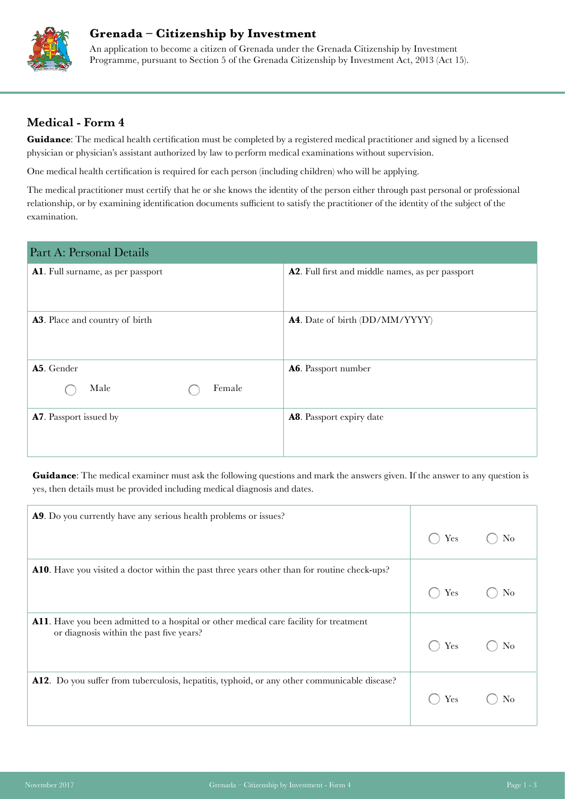

## **Grenada – Citizenship by Investment**

An application to become a citizen of Grenada under the Grenada Citizenship by Investment Programme, pursuant to Section 5 of the Grenada Citizenship by Investment Act, 2013 (Act 15).

## **Medical - Form 4**

Guidance: The medical health certification must be completed by a registered medical practitioner and signed by a licensed physician or physician's assistant authorized by law to perform medical examinations without supervision.

One medical health certification is required for each person (including children) who will be applying.

The medical practitioner must certify that he or she knows the identity of the person either through past personal or professional relationship, or by examining identification documents sufficient to satisfy the practitioner of the identity of the subject of the examination.

| A2. Full first and middle names, as per passport |
|--------------------------------------------------|
|                                                  |
| A4. Date of birth (DD/MM/YYYY)                   |
|                                                  |
| A6. Passport number                              |
|                                                  |
| A8. Passport expiry date                         |
|                                                  |
|                                                  |

**Guidance**: The medical examiner must ask the following questions and mark the answers given. If the answer to any question is yes, then details must be provided including medical diagnosis and dates.

| A9. Do you currently have any serious health problems or issues?                                                                   |     |    |
|------------------------------------------------------------------------------------------------------------------------------------|-----|----|
|                                                                                                                                    | Yes | No |
| A10. Have you visited a doctor within the past three years other than for routine check-ups?                                       |     |    |
|                                                                                                                                    | Yes |    |
| A11. Have you been admitted to a hospital or other medical care facility for treatment<br>or diagnosis within the past five years? | Yes |    |
| A12. Do you suffer from tuberculosis, hepatitis, typhoid, or any other communicable disease?                                       | Yes |    |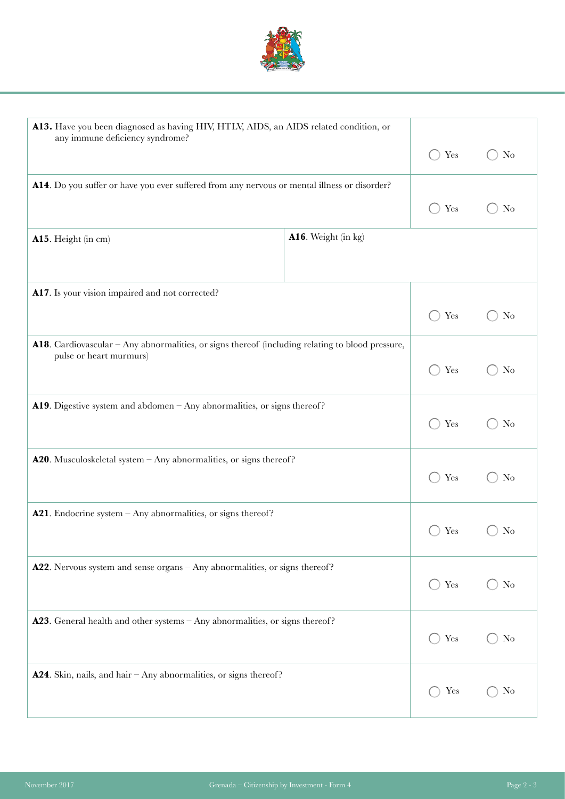

| A13. Have you been diagnosed as having HIV, HTLV, AIDS, an AIDS related condition, or<br>any immune deficiency syndrome?    |                     |               |                |
|-----------------------------------------------------------------------------------------------------------------------------|---------------------|---------------|----------------|
|                                                                                                                             |                     | Yes<br>$(\ )$ | No             |
| A14. Do you suffer or have you ever suffered from any nervous or mental illness or disorder?                                |                     |               |                |
|                                                                                                                             |                     | Yes           | No             |
| A15. Height (in cm)                                                                                                         | A16. Weight (in kg) |               |                |
| A17. Is your vision impaired and not corrected?                                                                             |                     |               |                |
|                                                                                                                             |                     | Yes           | N <sub>o</sub> |
| A18. Cardiovascular – Any abnormalities, or signs thereof (including relating to blood pressure,<br>pulse or heart murmurs) |                     |               |                |
|                                                                                                                             |                     | Yes           | No             |
| <b>A19</b> . Digestive system and abdomen $-$ Any abnormalities, or signs thereof?                                          |                     |               |                |
|                                                                                                                             |                     | Yes           | No             |
| <b>A20.</b> Musculoskeletal system $-$ Any abnormalities, or signs thereof?                                                 |                     |               |                |
|                                                                                                                             |                     | Yes           | No             |
| <b>A21</b> . Endocrine system $-$ Any abnormalities, or signs thereof?                                                      |                     | Yes           | No             |
|                                                                                                                             |                     |               |                |
| A22. Nervous system and sense organs - Any abnormalities, or signs thereof?                                                 |                     | Yes           | No             |
|                                                                                                                             |                     |               |                |
| <b>A23</b> . General health and other systems $-$ Any abnormalities, or signs thereof?                                      |                     | Yes<br>$(\ )$ | No             |
|                                                                                                                             |                     |               |                |
| <b>A24.</b> Skin, nails, and hair $-\text{Any}$ abnormalities, or signs thereof?                                            |                     | Yes           | No             |
|                                                                                                                             |                     |               |                |